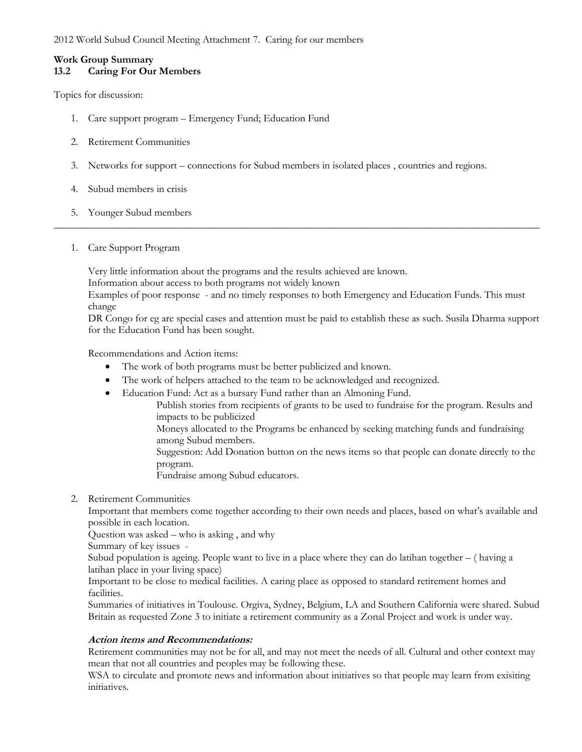2012 World Subud Council Meeting Attachment 7. Caring for our members

# **Work Group Summary**

## **13.2 Caring For Our Members**

Topics for discussion:

- 1. Care support program Emergency Fund; Education Fund
- 2. Retirement Communities
- 3. Networks for support connections for Subud members in isolated places , countries and regions.
- 4. Subud members in crisis
- 5. Younger Subud members
- 1. Care Support Program

Very little information about the programs and the results achieved are known.

Information about access to both programs not widely known

Examples of poor response - and no timely responses to both Emergency and Education Funds. This must change

\_\_\_\_\_\_\_\_\_\_\_\_\_\_\_\_\_\_\_\_\_\_\_\_\_\_\_\_\_\_\_\_\_\_\_\_\_\_\_\_\_\_\_\_\_\_\_\_\_\_\_\_\_\_\_\_\_\_\_\_\_\_\_\_\_\_\_\_\_\_\_\_\_\_\_\_\_\_\_\_\_\_\_\_\_\_\_\_\_\_\_\_\_

DR Congo for eg are special cases and attention must be paid to establish these as such. Susila Dharma support for the Education Fund has been sought.

Recommendations and Action items:

- The work of both programs must be better publicized and known.
- The work of helpers attached to the team to be acknowledged and recognized.
- Education Fund: Act as a bursary Fund rather than an Almoning Fund.
	- Publish stories from recipients of grants to be used to fundraise for the program. Results and impacts to be publicized
		- Moneys allocated to the Programs be enhanced by seeking matching funds and fundraising among Subud members.
		- Suggestion: Add Donation button on the news items so that people can donate directly to the program.

Fundraise among Subud educators.

### 2. Retirement Communities

Important that members come together according to their own needs and places, based on what's available and possible in each location.

Question was asked – who is asking , and why

Summary of key issues -

Subud population is ageing. People want to live in a place where they can do latihan together – ( having a latihan place in your living space)

Important to be close to medical facilities. A caring place as opposed to standard retirement homes and facilities.

Summaries of initiatives in Toulouse. Orgiva, Sydney, Belgium, LA and Southern California were shared. Subud Britain as requested Zone 3 to initiate a retirement community as a Zonal Project and work is under way.

### **Action items and Recommendations:**

Retirement communities may not be for all, and may not meet the needs of all. Cultural and other context may mean that not all countries and peoples may be following these.

WSA to circulate and promote news and information about initiatives so that people may learn from exisiting initiatives.